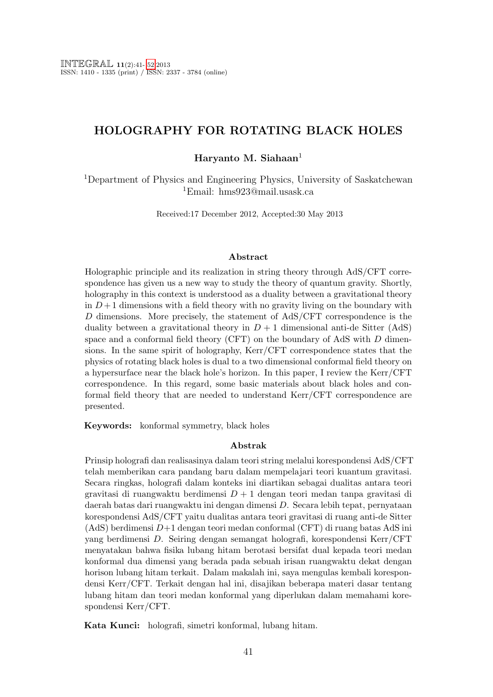## HOLOGRAPHY FOR ROTATING BLACK HOLES

#### Haryanto M. Siahaan<sup>1</sup>

<sup>1</sup>Department of Physics and Engineering Physics, University of Saskatchewan <sup>1</sup>Email: hms923@mail.usask.ca

Received:17 December 2012, Accepted:30 May 2013

#### Abstract

Holographic principle and its realization in string theory through AdS/CFT correspondence has given us a new way to study the theory of quantum gravity. Shortly, holography in this context is understood as a duality between a gravitational theory in  $D+1$  dimensions with a field theory with no gravity living on the boundary with D dimensions. More precisely, the statement of AdS/CFT correspondence is the duality between a gravitational theory in  $D + 1$  dimensional anti-de Sitter (AdS) space and a conformal field theory (CFT) on the boundary of AdS with D dimensions. In the same spirit of holography, Kerr/CFT correspondence states that the physics of rotating black holes is dual to a two dimensional conformal field theory on a hypersurface near the black hole's horizon. In this paper, I review the Kerr/CFT correspondence. In this regard, some basic materials about black holes and conformal field theory that are needed to understand Kerr/CFT correspondence are presented.

Keywords: konformal symmetry, black holes

#### Abstrak

Prinsip holografi dan realisasinya dalam teori string melalui korespondensi AdS/CFT telah memberikan cara pandang baru dalam mempelajari teori kuantum gravitasi. Secara ringkas, holografi dalam konteks ini diartikan sebagai dualitas antara teori gravitasi di ruangwaktu berdimensi D + 1 dengan teori medan tanpa gravitasi di daerah batas dari ruangwaktu ini dengan dimensi D. Secara lebih tepat, pernyataan korespondensi AdS/CFT yaitu dualitas antara teori gravitasi di ruang anti-de Sitter  $(AdS)$  berdimensi  $D+1$  dengan teori medan conformal  $(CFT)$  di ruang batas AdS ini yang berdimensi D. Seiring dengan semangat holografi, korespondensi Kerr/CFT menyatakan bahwa fisika lubang hitam berotasi bersifat dual kepada teori medan konformal dua dimensi yang berada pada sebuah irisan ruangwaktu dekat dengan horison lubang hitam terkait. Dalam makalah ini, saya mengulas kembali korespondensi Kerr/CFT. Terkait dengan hal ini, disajikan beberapa materi dasar tentang lubang hitam dan teori medan konformal yang diperlukan dalam memahami korespondensi Kerr/CFT.

Kata Kunci: holografi, simetri konformal, lubang hitam.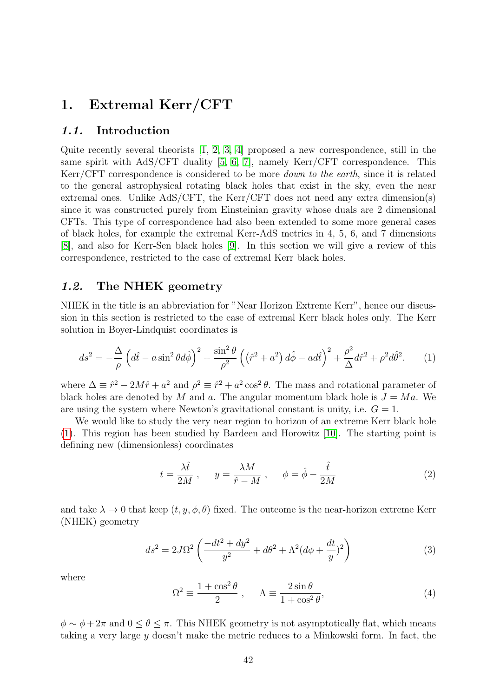# <span id="page-1-2"></span>1. Extremal Kerr/CFT

#### 1.1. Introduction

Quite recently several theorists [\[1,](#page-10-0) [2,](#page-10-1) [3,](#page-10-2) [4\]](#page-10-3) proposed a new correspondence, still in the same spirit with AdS/CFT duality [\[5,](#page-10-4) [6,](#page-11-1) [7\]](#page-11-2), namely Kerr/CFT correspondence. This Kerr/CFT correspondence is considered to be more down to the earth, since it is related to the general astrophysical rotating black holes that exist in the sky, even the near extremal ones. Unlike AdS/CFT, the Kerr/CFT does not need any extra dimension(s) since it was constructed purely from Einsteinian gravity whose duals are 2 dimensional CFTs. This type of correspondence had also been extended to some more general cases of black holes, for example the extremal Kerr-AdS metrics in 4, 5, 6, and 7 dimensions [\[8\]](#page-11-3), and also for Kerr-Sen black holes [\[9\]](#page-11-4). In this section we will give a review of this correspondence, restricted to the case of extremal Kerr black holes.

### 1.2. The NHEK geometry

NHEK in the title is an abbreviation for "Near Horizon Extreme Kerr", hence our discussion in this section is restricted to the case of extremal Kerr black holes only. The Kerr solution in Boyer-Lindquist coordinates is

<span id="page-1-0"></span>
$$
ds^2 = -\frac{\Delta}{\rho} \left( d\hat{t} - a\sin^2\theta d\hat{\phi} \right)^2 + \frac{\sin^2\theta}{\rho^2} \left( \left(\hat{r}^2 + a^2\right) d\hat{\phi} - ad\hat{t} \right)^2 + \frac{\rho^2}{\Delta} d\hat{r}^2 + \rho^2 d\hat{\theta}^2. \tag{1}
$$

where  $\Delta \equiv \hat{r}^2 - 2M\hat{r} + a^2$  and  $\rho^2 \equiv \hat{r}^2 + a^2 \cos^2 \theta$ . The mass and rotational parameter of black holes are denoted by M and a. The angular momentum black hole is  $J = Ma$ . We are using the system where Newton's gravitational constant is unity, i.e.  $G = 1$ .

We would like to study the very near region to horizon of an extreme Kerr black hole [\(1\)](#page-1-0). This region has been studied by Bardeen and Horowitz [\[10\]](#page-11-5). The starting point is defining new (dimensionless) coordinates

$$
t = \frac{\lambda \hat{t}}{2M}, \qquad y = \frac{\lambda M}{\hat{r} - M}, \qquad \phi = \hat{\phi} - \frac{\hat{t}}{2M}
$$
 (2)

and take  $\lambda \to 0$  that keep  $(t, y, \phi, \theta)$  fixed. The outcome is the near-horizon extreme Kerr (NHEK) geometry

<span id="page-1-1"></span>
$$
ds^{2} = 2J\Omega^{2} \left( \frac{-dt^{2} + dy^{2}}{y^{2}} + d\theta^{2} + \Lambda^{2} (d\phi + \frac{dt}{y})^{2} \right)
$$
(3)

where

$$
\Omega^2 \equiv \frac{1 + \cos^2 \theta}{2} , \qquad \Lambda \equiv \frac{2 \sin \theta}{1 + \cos^2 \theta}, \tag{4}
$$

 $\phi \sim \phi + 2\pi$  and  $0 \le \theta \le \pi$ . This NHEK geometry is not asymptotically flat, which means taking a very large y doesn't make the metric reduces to a Minkowski form. In fact, the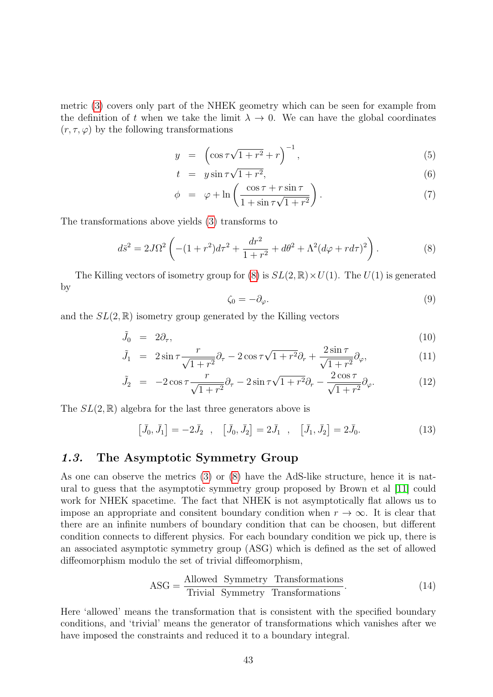metric [\(3\)](#page-1-1) covers only part of the NHEK geometry which can be seen for example from the definition of t when we take the limit  $\lambda \to 0$ . We can have the global coordinates  $(r, \tau, \varphi)$  by the following transformations

$$
y = \left(\cos \tau \sqrt{1 + r^2} + r\right)^{-1},\tag{5}
$$

$$
t = y \sin \tau \sqrt{1 + r^2}, \tag{6}
$$

$$
\phi = \varphi + \ln\left(\frac{\cos\tau + r\sin\tau}{1 + \sin\tau\sqrt{1 + r^2}}\right). \tag{7}
$$

The transformations above yields [\(3\)](#page-1-1) transforms to

<span id="page-2-0"></span>
$$
d\bar{s}^2 = 2J\Omega^2 \left( -(1+r^2)d\tau^2 + \frac{dr^2}{1+r^2} + d\theta^2 + \Lambda^2 (d\varphi + r d\tau)^2 \right). \tag{8}
$$

The Killing vectors of isometry group for [\(8\)](#page-2-0) is  $SL(2,\mathbb{R})\times U(1)$ . The  $U(1)$  is generated by

$$
\zeta_0 = -\partial_\varphi. \tag{9}
$$

and the  $SL(2,\mathbb{R})$  isometry group generated by the Killing vectors

$$
\tilde{J}_0 = 2\partial_\tau,\tag{10}
$$

$$
\tilde{J}_1 = 2\sin\tau \frac{r}{\sqrt{1+r^2}} \partial_\tau - 2\cos\tau \sqrt{1+r^2} \partial_r + \frac{2\sin\tau}{\sqrt{1+r^2}} \partial_\varphi,\tag{11}
$$

$$
\tilde{J}_2 = -2\cos\tau \frac{r}{\sqrt{1+r^2}} \partial_\tau - 2\sin\tau \sqrt{1+r^2} \partial_r - \frac{2\cos\tau}{\sqrt{1+r^2}} \partial_\varphi.
$$
\n(12)

The  $SL(2,\mathbb{R})$  algebra for the last three generators above is

$$
[\bar{J}_0, \bar{J}_1] = -2\bar{J}_2 \ , \quad [\bar{J}_0, \bar{J}_2] = 2\bar{J}_1 \ , \quad [\bar{J}_1, \bar{J}_2] = 2\bar{J}_0. \tag{13}
$$

#### 1.3. The Asymptotic Symmetry Group

As one can observe the metrics [\(3\)](#page-1-1) or [\(8\)](#page-2-0) have the AdS-like structure, hence it is natural to guess that the asymptotic symmetry group proposed by Brown et al [\[11\]](#page-11-6) could work for NHEK spacetime. The fact that NHEK is not asymptotically flat allows us to impose an appropriate and consitent boundary condition when  $r \to \infty$ . It is clear that there are an infinite numbers of boundary condition that can be choosen, but different condition connects to different physics. For each boundary condition we pick up, there is an associated asymptotic symmetry group (ASG) which is defined as the set of allowed diffeomorphism modulo the set of trivial diffeomorphism,

$$
ASG = \frac{Allowed \ Symmetry \ Transformations}{Trivial \ Symmetry \ Transformations}.\tag{14}
$$

Here 'allowed' means the transformation that is consistent with the specified boundary conditions, and 'trivial' means the generator of transformations which vanishes after we have imposed the constraints and reduced it to a boundary integral.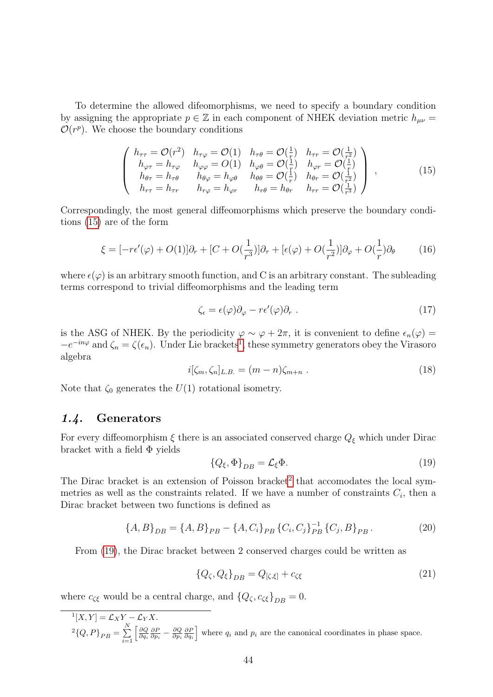To determine the allowed difeomorphisms, we need to specify a boundary condition by assigning the appropriate  $p \in \mathbb{Z}$  in each component of NHEK deviation metric  $h_{\mu\nu} =$  $\mathcal{O}(r^p)$ . We choose the boundary conditions

<span id="page-3-0"></span>
$$
\begin{pmatrix}\nh_{\tau\tau} = \mathcal{O}(r^2) & h_{\tau\varphi} = \mathcal{O}(1) & h_{\tau\theta} = \mathcal{O}(\frac{1}{r}) & h_{\tau r} = \mathcal{O}(\frac{1}{r^2}) \\
h_{\varphi\tau} = h_{\tau\varphi} & h_{\varphi\varphi} = O(1) & h_{\varphi\theta} = \mathcal{O}(\frac{1}{r}) & h_{\varphi r} = \mathcal{O}(\frac{1}{r}) \\
h_{\theta\tau} = h_{\tau\theta} & h_{\theta\varphi} = h_{\varphi\theta} & h_{\theta\theta} = \mathcal{O}(\frac{1}{r}) & h_{\theta r} = \mathcal{O}(\frac{1}{r^2}) \\
h_{\tau\tau} = h_{\tau r} & h_{\tau\varphi} = h_{\varphi r} & h_{r\theta} = h_{\theta r} & h_{rr} = \mathcal{O}(\frac{1}{r^3})\n\end{pmatrix},
$$
\n(15)

Correspondingly, the most general diffeomorphisms which preserve the boundary conditions [\(15\)](#page-3-0) are of the form

$$
\xi = [-r\epsilon'(\varphi) + O(1)]\partial_r + [C + O(\frac{1}{r^3})]\partial_\tau + [\epsilon(\varphi) + O(\frac{1}{r^2})]\partial_\varphi + O(\frac{1}{r})\partial_\theta \tag{16}
$$

where  $\epsilon(\varphi)$  is an arbitrary smooth function, and C is an arbitrary constant. The subleading terms correspond to trivial diffeomorphisms and the leading term

$$
\zeta_{\epsilon} = \epsilon(\varphi)\partial_{\varphi} - r\epsilon'(\varphi)\partial_r \tag{17}
$$

is the ASG of NHEK. By the periodicity  $\varphi \sim \varphi + 2\pi$ , it is convenient to define  $\epsilon_n(\varphi)$  $-e^{-in\varphi}$  and  $\zeta_n = \zeta(\epsilon_n)$ . Under Lie brackets<sup>[1](#page-3-1)</sup>, these symmetry generators obey the Virasoro algebra

$$
i[\zeta_m, \zeta_n]_{L.B.} = (m-n)\zeta_{m+n} . \qquad (18)
$$

Note that  $\zeta_0$  generates the  $U(1)$  rotational isometry.

#### 1.4. Generators

For every diffeomorphism  $\xi$  there is an associated conserved charge<br>  $Q_\xi$  which under Dirac bracket with a field  $\Phi$  yields

<span id="page-3-3"></span>
$$
\{Q_{\xi}, \Phi\}_{DB} = \mathcal{L}_{\xi} \Phi. \tag{19}
$$

The Dirac bracket is an extension of Poisson bracket<sup>[2](#page-3-2)</sup> that accomodates the local symmetries as well as the constraints related. If we have a number of constraints  $C_i$ , then a Dirac bracket between two functions is defined as

$$
\{A, B\}_{DB} = \{A, B\}_{PB} - \{A, C_i\}_{PB} \{C_i, C_j\}_{PB}^{-1} \{C_j, B\}_{PB}.
$$
 (20)

From [\(19\)](#page-3-3), the Dirac bracket between 2 conserved charges could be written as

$$
\{Q_{\zeta}, Q_{\xi}\}_{DB} = Q_{[\zeta, \xi]} + c_{\zeta\xi}
$$
\n(21)

where  $c_{\zeta\xi}$  would be a central charge, and  $\{Q_{\zeta}, c_{\zeta\xi}\}_{DB} = 0$ .

<span id="page-3-2"></span><span id="page-3-1"></span> ${}^{1}[X,Y] = \mathcal{L}_{X}Y - \mathcal{L}_{Y}X.$  $^{2}{Q, P}_{PB} = \sum^{N}_{Q}$  $i=1$  $\left[\frac{\partial Q}{\partial q_i}\frac{\partial P}{\partial p_i} - \frac{\partial Q}{\partial p_i}\frac{\partial P}{\partial q_i}\right]$  where  $q_i$  and  $p_i$  are the canonical coordinates in phase space.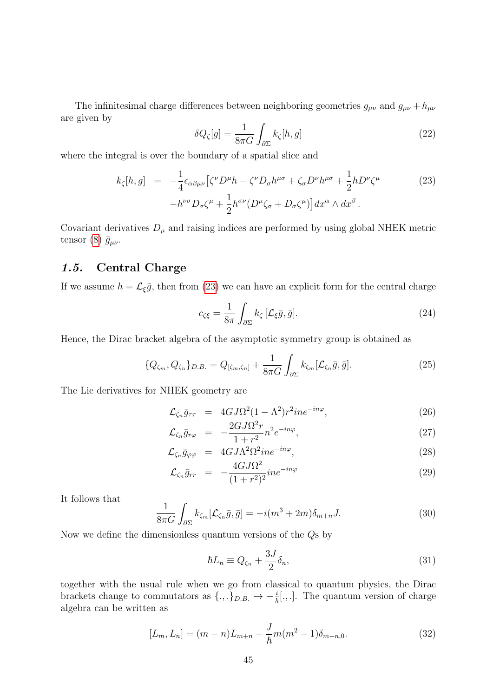The infinitesimal charge differences between neighboring geometries  $g_{\mu\nu}$  and  $g_{\mu\nu} + h_{\mu\nu}$ are given by

$$
\delta Q_{\zeta}[g] = \frac{1}{8\pi G} \int_{\partial \Sigma} k_{\zeta}[h, g] \tag{22}
$$

where the integral is over the boundary of a spatial slice and

<span id="page-4-0"></span>
$$
k_{\zeta}[h,g] = -\frac{1}{4} \epsilon_{\alpha\beta\mu\nu} \left[ \zeta^{\nu} D^{\mu} h - \zeta^{\nu} D_{\sigma} h^{\mu\sigma} + \zeta_{\sigma} D^{\nu} h^{\mu\sigma} + \frac{1}{2} h D^{\nu} \zeta^{\mu} \right] - h^{\nu\sigma} D_{\sigma} \zeta^{\mu} + \frac{1}{2} h^{\sigma\nu} (D^{\mu} \zeta_{\sigma} + D_{\sigma} \zeta^{\mu}) \right] dx^{\alpha} \wedge dx^{\beta} .
$$
 (23)

Covariant derivatives  $D_{\mu}$  and raising indices are performed by using global NHEK metric tensor [\(8\)](#page-2-0)  $\bar{g}_{\mu\nu}$ .

#### 1.5. Central Charge

If we assume  $h = \mathcal{L}_{\xi} \bar{g}$ , then from [\(23\)](#page-4-0) we can have an explicit form for the central charge

$$
c_{\zeta\xi} = \frac{1}{8\pi} \int_{\partial \Sigma} k_{\zeta} \left[ \mathcal{L}_{\xi} \bar{g}, \bar{g} \right]. \tag{24}
$$

Hence, the Dirac bracket algebra of the asymptotic symmetry group is obtained as

$$
\{Q_{\zeta_m}, Q_{\zeta_n}\}_{D.B.} = Q_{\left[\zeta_m, \zeta_n\right]} + \frac{1}{8\pi G} \int_{\partial \Sigma} k_{\zeta_m} [\mathcal{L}_{\zeta_n} \bar{g}, \bar{g}]. \tag{25}
$$

The Lie derivatives for NHEK geometry are

$$
\mathcal{L}_{\zeta_n} \bar{g}_{\tau\tau} = 4GJ\Omega^2 (1 - \Lambda^2) r^2 i n e^{-i n \varphi}, \qquad (26)
$$

$$
\mathcal{L}_{\zeta_n} \bar{g}_{r\varphi} = -\frac{2GJ\Omega^2 r}{1+r^2} n^2 e^{-in\varphi}, \qquad (27)
$$

$$
\mathcal{L}_{\zeta_n} \bar{g}_{\varphi\varphi} = 4GJ\Lambda^2 \Omega^2 i n e^{-i n \varphi}, \qquad (28)
$$

$$
\mathcal{L}_{\zeta_n} \bar{g}_{rr} = -\frac{4GJ\Omega^2}{(1+r^2)^2} i n e^{-in\varphi} \tag{29}
$$

It follows that

$$
\frac{1}{8\pi G} \int_{\partial \Sigma} k_{\zeta_m} [\mathcal{L}_{\zeta_n} \bar{g}, \bar{g}] = -i(m^3 + 2m)\delta_{m+n} J. \tag{30}
$$

Now we define the dimensionless quantum versions of the Qs by

$$
\hbar L_n \equiv Q_{\zeta_n} + \frac{3J}{2} \delta_n,\tag{31}
$$

together with the usual rule when we go from classical to quantum physics, the Dirac brackets change to commutators as  $\{.,.\}_{{D.B.}} \rightarrow -\frac{i}{\hbar}[.,.]$ . The quantum version of charge algebra can be written as

$$
[L_m, L_n] = (m - n)L_{m+n} + \frac{J}{\hbar}m(m^2 - 1)\delta_{m+n,0}.
$$
 (32)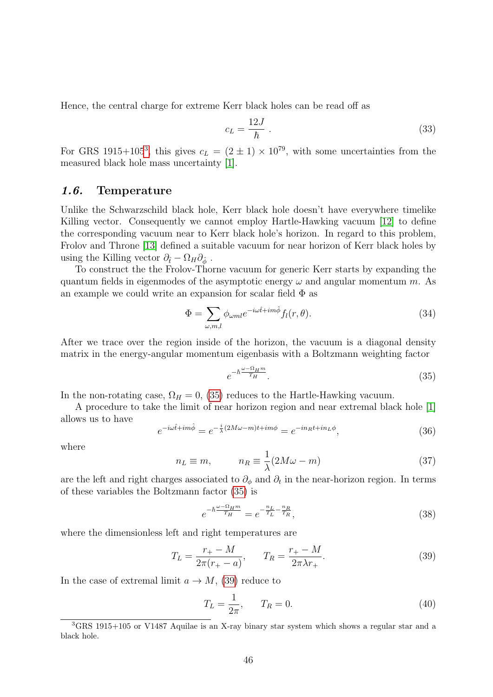Hence, the central charge for extreme Kerr black holes can be read off as

$$
c_L = \frac{12J}{\hbar} \tag{33}
$$

For GRS 1915+105<sup>[3](#page-5-0)</sup>, this gives  $c_L = (2 \pm 1) \times 10^{79}$ , with some uncertainties from the measured black hole mass uncertainty [\[1\]](#page-10-0).

#### 1.6. Temperature

Unlike the Schwarzschild black hole, Kerr black hole doesn't have everywhere timelike Killing vector. Consequently we cannot employ Hartle-Hawking vacuum [\[12\]](#page-11-7) to define the corresponding vacuum near to Kerr black hole's horizon. In regard to this problem, Frolov and Throne [\[13\]](#page-11-8) defined a suitable vacuum for near horizon of Kerr black holes by using the Killing vector  $\partial_{\hat{t}} - \Omega_H \partial_{\hat{\phi}}$ .

To construct the the Frolov-Thorne vacuum for generic Kerr starts by expanding the quantum fields in eigenmodes of the asymptotic energy  $\omega$  and angular momentum m. As an example we could write an expansion for scalar field  $\Phi$  as

$$
\Phi = \sum_{\omega,m,l} \phi_{\omega m l} e^{-i\omega \hat{t} + im\hat{\phi}} f_l(r,\theta). \tag{34}
$$

After we trace over the region inside of the horizon, the vacuum is a diagonal density matrix in the energy-angular momentum eigenbasis with a Boltzmann weighting factor

<span id="page-5-1"></span>
$$
e^{-\hbar \frac{\omega - \Omega_H m}{T_H}}.\tag{35}
$$

In the non-rotating case,  $\Omega_H = 0$ , [\(35\)](#page-5-1) reduces to the Hartle-Hawking vacuum.

A procedure to take the limit of near horizon region and near extremal black hole [\[1\]](#page-10-0) allows us to have

$$
e^{-i\omega\hat{t}+im\hat{\phi}} = e^{-\frac{i}{\lambda}(2M\omega-m)t+im\phi} = e^{-in_Rt+in_L\phi},\tag{36}
$$

where

$$
n_L \equiv m, \qquad n_R \equiv \frac{1}{\lambda} (2M\omega - m) \tag{37}
$$

are the left and right charges associated to  $\partial_{\phi}$  and  $\partial_{t}$  in the near-horizon region. In terms of these variables the Boltzmann factor [\(35\)](#page-5-1) is

$$
e^{-\hbar \frac{\omega - \Omega_H m}{T_H}} = e^{-\frac{n_L}{T_L} - \frac{n_R}{T_R}},\tag{38}
$$

where the dimensionless left and right temperatures are

<span id="page-5-2"></span>
$$
T_L = \frac{r_+ - M}{2\pi (r_+ - a)}, \qquad T_R = \frac{r_+ - M}{2\pi \lambda r_+}.
$$
\n(39)

In the case of extremal limit  $a \to M$ , [\(39\)](#page-5-2) reduce to

$$
T_L = \frac{1}{2\pi}, \qquad T_R = 0. \tag{40}
$$

<span id="page-5-0"></span><sup>3</sup>GRS 1915+105 or V1487 Aquilae is an X-ray binary star system which shows a regular star and a black hole.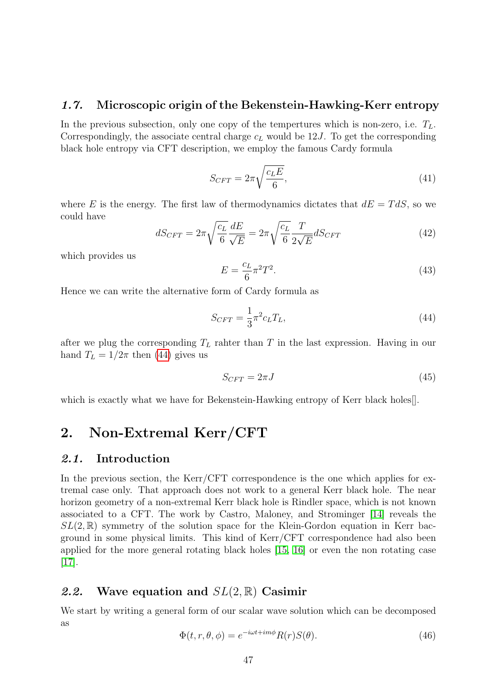#### 1.7. Microscopic origin of the Bekenstein-Hawking-Kerr entropy

In the previous subsection, only one copy of the tempertures which is non-zero, i.e.  $T_L$ . Correspondingly, the associate central charge  $c<sub>L</sub>$  would be 12J. To get the corresponding black hole entropy via CFT description, we employ the famous Cardy formula

$$
S_{CFT} = 2\pi \sqrt{\frac{c_L E}{6}},\tag{41}
$$

where E is the energy. The first law of thermodynamics dictates that  $dE = T dS$ , so we could have

$$
dS_{CFT} = 2\pi \sqrt{\frac{c_L}{6}} \frac{dE}{\sqrt{E}} = 2\pi \sqrt{\frac{c_L}{6}} \frac{T}{2\sqrt{E}} dS_{CFT}
$$
(42)

which provides us

$$
E = \frac{c_L}{6} \pi^2 T^2.
$$
\n(43)

Hence we can write the alternative form of Cardy formula as

<span id="page-6-0"></span>
$$
S_{CFT} = \frac{1}{3}\pi^2 c_L T_L,\tag{44}
$$

after we plug the corresponding  $T_L$  rahter than T in the last expression. Having in our hand  $T_L = 1/2\pi$  then [\(44\)](#page-6-0) gives us

$$
S_{CFT} = 2\pi J \tag{45}
$$

which is exactly what we have for Bekenstein-Hawking entropy of Kerr black holes<sup>[]</sup>.

# <span id="page-6-1"></span>2. Non-Extremal Kerr/CFT

#### 2.1. Introduction

In the previous section, the Kerr/CFT correspondence is the one which applies for extremal case only. That approach does not work to a general Kerr black hole. The near horizon geometry of a non-extremal Kerr black hole is Rindler space, which is not known associated to a CFT. The work by Castro, Maloney, and Strominger [\[14\]](#page-11-9) reveals the  $SL(2,\mathbb{R})$  symmetry of the solution space for the Klein-Gordon equation in Kerr bacground in some physical limits. This kind of Kerr/CFT correspondence had also been applied for the more general rotating black holes [\[15,](#page-11-10) [16\]](#page-11-11) or even the non rotating case [\[17\]](#page-11-12).

#### 2.2. Wave equation and  $SL(2,\mathbb{R})$  Casimir

We start by writing a general form of our scalar wave solution which can be decomposed as

$$
\Phi(t, r, \theta, \phi) = e^{-i\omega t + im\phi} R(r) S(\theta).
$$
\n(46)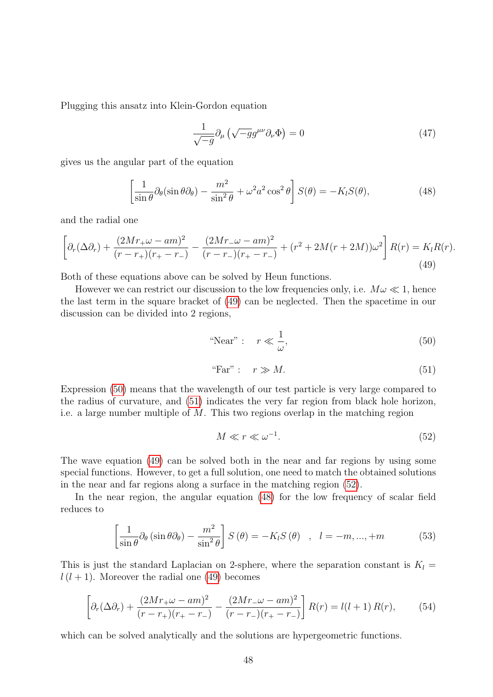Plugging this ansatz into Klein-Gordon equation

$$
\frac{1}{\sqrt{-g}}\partial_{\mu}\left(\sqrt{-g}g^{\mu\nu}\partial_{\nu}\Phi\right) = 0\tag{47}
$$

gives us the angular part of the equation

<span id="page-7-4"></span>
$$
\left[\frac{1}{\sin\theta}\partial_{\theta}(\sin\theta\partial_{\theta}) - \frac{m^2}{\sin^2\theta} + \omega^2 a^2 \cos^2\theta\right] S(\theta) = -K_l S(\theta),\tag{48}
$$

and the radial one

<span id="page-7-0"></span>
$$
\left[\partial_r(\Delta\partial_r) + \frac{(2Mr_+\omega - am)^2}{(r-r_+)(r_+-r_-)} - \frac{(2Mr_-\omega - am)^2}{(r-r_-)(r_+-r_-)} + (r^2 + 2M(r+2M))\omega^2\right]R(r) = K_lR(r).
$$
\n(49)

Both of these equations above can be solved by Heun functions.

However we can restrict our discussion to the low frequencies only, i.e.  $M\omega \ll 1$ , hence the last term in the square bracket of [\(49\)](#page-7-0) can be neglected. Then the spacetime in our discussion can be divided into 2 regions,

<span id="page-7-1"></span>
$$
\text{``Near''}: \quad r \ll \frac{1}{\omega},\tag{50}
$$

<span id="page-7-2"></span>"Far" : 
$$
r \gg M
$$
. (51)

Expression [\(50\)](#page-7-1) means that the wavelength of our test particle is very large compared to the radius of curvature, and [\(51\)](#page-7-2) indicates the very far region from black hole horizon, i.e. a large number multiple of M. This two regions overlap in the matching region

<span id="page-7-3"></span>
$$
M \ll r \ll \omega^{-1}.\tag{52}
$$

The wave equation [\(49\)](#page-7-0) can be solved both in the near and far regions by using some special functions. However, to get a full solution, one need to match the obtained solutions in the near and far regions along a surface in the matching region [\(52\)](#page-7-3).

In the near region, the angular equation [\(48\)](#page-7-4) for the low frequency of scalar field reduces to

$$
\left[\frac{1}{\sin\theta}\partial_{\theta}\left(\sin\theta\partial_{\theta}\right) - \frac{m^2}{\sin^2\theta}\right]S\left(\theta\right) = -K_lS\left(\theta\right) \quad , \quad l = -m, ..., +m \tag{53}
$$

This is just the standard Laplacian on 2-sphere, where the separation constant is  $K_l =$  $l(l + 1)$ . Moreover the radial one [\(49\)](#page-7-0) becomes

<span id="page-7-5"></span>
$$
\left[\partial_r(\Delta\partial_r) + \frac{(2Mr_+\omega - am)^2}{(r-r_+)(r_+ - r_-)} - \frac{(2Mr_-\omega - am)^2}{(r-r_-)(r_+ - r_-)}\right]R(r) = l(l+1)R(r),\tag{54}
$$

which can be solved analytically and the solutions are hypergeometric functions.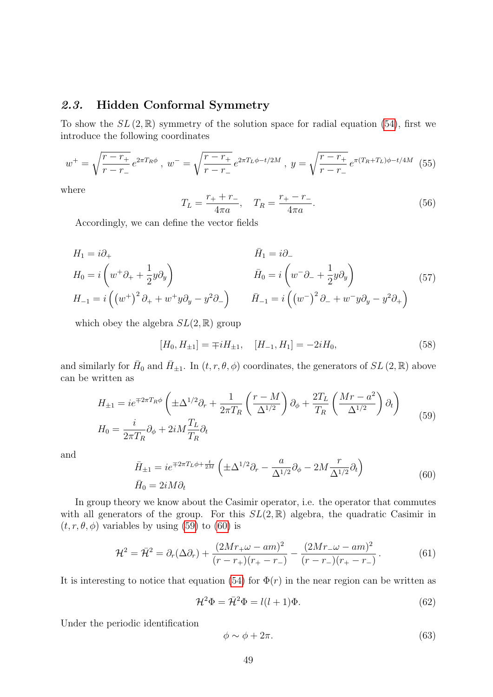## 2.3. Hidden Conformal Symmetry

To show the  $SL(2,\mathbb{R})$  symmetry of the solution space for radial equation [\(54\)](#page-7-5), first we introduce the following coordinates

<span id="page-8-2"></span>
$$
w^{+} = \sqrt{\frac{r - r_{+}}{r - r_{-}}} e^{2\pi T_{R}\phi}, \ w^{-} = \sqrt{\frac{r - r_{+}}{r - r_{-}}} e^{2\pi T_{L}\phi - t/2M}, \ y = \sqrt{\frac{r - r_{+}}{r - r_{-}}} e^{\pi (T_{R} + T_{L})\phi - t/4M} \tag{55}
$$

where

<span id="page-8-3"></span>
$$
T_L = \frac{r_+ + r_-}{4\pi a}, \quad T_R = \frac{r_+ - r_-}{4\pi a}.
$$
\n(56)

Accordingly, we can define the vector fields

$$
H_1 = i\partial_+
$$
  
\n
$$
H_0 = i\left(w^+\partial_+ + \frac{1}{2}y\partial_y\right)
$$
  
\n
$$
H_{-1} = i\left(\left(w^+\right)^2\partial_+ + w^+y\partial_y - y^2\partial_-\right)
$$
  
\n
$$
\bar{H}_1 = i\partial_-
$$
  
\n
$$
\bar{H}_0 = i\left(w^-\partial_- + \frac{1}{2}y\partial_y\right)
$$
  
\n
$$
\bar{H}_{-1} = i\left(\left(w^-\right)^2\partial_- + w^-y\partial_y - y^2\partial_+\right)
$$
\n(57)

which obey the algebra  $SL(2,\mathbb{R})$  group

$$
[H_0, H_{\pm 1}] = \mp i H_{\pm 1}, \quad [H_{-1}, H_1] = -2i H_0,\tag{58}
$$

and similarly for  $\bar{H}_0$  and  $\bar{H}_{\pm 1}$ . In  $(t, r, \theta, \phi)$  coordinates, the generators of  $SL(2, \mathbb{R})$  above can be written as

<span id="page-8-0"></span>
$$
H_{\pm 1} = ie^{\mp 2\pi T_R \phi} \left( \pm \Delta^{1/2} \partial_r + \frac{1}{2\pi T_R} \left( \frac{r - M}{\Delta^{1/2}} \right) \partial_\phi + \frac{2T_L}{T_R} \left( \frac{Mr - a^2}{\Delta^{1/2}} \right) \partial_t \right)
$$
  
\n
$$
H_0 = \frac{i}{2\pi T_R} \partial_\phi + 2iM \frac{T_L}{T_R} \partial_t
$$
\n(59)

and

<span id="page-8-1"></span>
$$
\bar{H}_{\pm 1} = ie^{\mp 2\pi T_L \phi + \frac{t}{2M}} \left( \pm \Delta^{1/2} \partial_r - \frac{a}{\Delta^{1/2}} \partial_\phi - 2M \frac{r}{\Delta^{1/2}} \partial_t \right)
$$
\n
$$
\bar{H}_0 = 2iM\partial_t
$$
\n(60)

In group theory we know about the Casimir operator, i.e. the operator that commutes with all generators of the group. For this  $SL(2,\mathbb{R})$  algebra, the quadratic Casimir in  $(t, r, \theta, \phi)$  variables by using [\(59\)](#page-8-0) to [\(60\)](#page-8-1) is

$$
\mathcal{H}^2 = \bar{\mathcal{H}}^2 = \partial_r(\Delta \partial_r) + \frac{(2Mr_+ \omega - am)^2}{(r - r_+)(r_+ - r_-)} - \frac{(2Mr_- \omega - am)^2}{(r - r_-)(r_+ - r_-)}.
$$
(61)

It is interesting to notice that equation [\(54\)](#page-7-5) for  $\Phi(r)$  in the near region can be written as

$$
\mathcal{H}^2 \Phi = \bar{\mathcal{H}}^2 \Phi = l(l+1)\Phi.
$$
\n(62)

Under the periodic identification

$$
\phi \sim \phi + 2\pi. \tag{63}
$$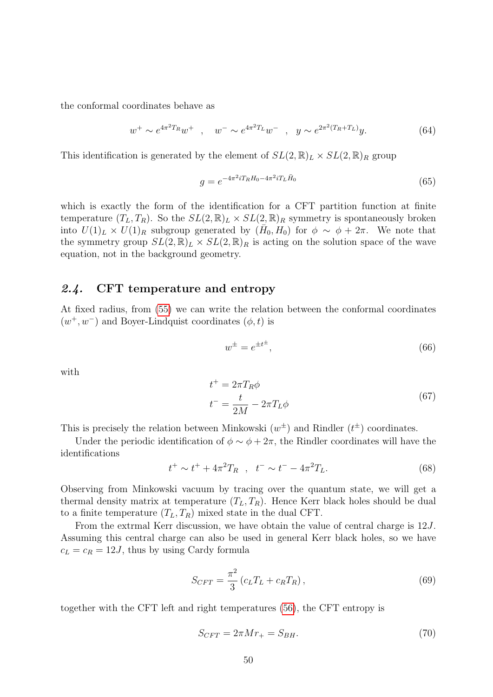the conformal coordinates behave as

$$
w^{+} \sim e^{4\pi^{2}T_{R}} w^{+} , \quad w^{-} \sim e^{4\pi^{2}T_{L}} w^{-} , \quad y \sim e^{2\pi^{2}(T_{R}+T_{L})} y.
$$
 (64)

This identification is generated by the element of  $SL(2,\mathbb{R})_L \times SL(2,\mathbb{R})_R$  group

$$
g = e^{-4\pi^2 i T_R H_0 - 4\pi^2 i T_L \bar{H}_0}
$$
\n(65)

which is exactly the form of the identification for a CFT partition function at finite temperature  $(T_L, T_R)$ . So the  $SL(2, \mathbb{R})_L \times SL(2, \mathbb{R})_R$  symmetry is spontaneously broken into  $U(1)_L \times U(1)_R$  subgroup generated by  $(H_0, H_0)$  for  $\phi \sim \phi + 2\pi$ . We note that the symmetry group  $SL(2,\mathbb{R})_L \times SL(2,\mathbb{R})_R$  is acting on the solution space of the wave equation, not in the background geometry.

#### 2.4. CFT temperature and entropy

At fixed radius, from [\(55\)](#page-8-2) we can write the relation between the conformal coordinates  $(w^+, w^-)$  and Boyer-Lindquist coordinates  $(\phi, t)$  is

$$
w^{\pm} = e^{\pm t^{\pm}},\tag{66}
$$

with

$$
t^{+} = 2\pi T_R \phi
$$
  
\n
$$
t^{-} = \frac{t}{2M} - 2\pi T_L \phi
$$
\n(67)

This is precisely the relation between Minkowski  $(w^{\pm})$  and Rindler  $(t^{\pm})$  coordinates.

Under the periodic identification of  $\phi \sim \phi + 2\pi$ , the Rindler coordinates will have the identifications

$$
t^{+} \sim t^{+} + 4\pi^{2}T_{R} , \quad t^{-} \sim t^{-} - 4\pi^{2}T_{L}.
$$
 (68)

Observing from Minkowski vacuum by tracing over the quantum state, we will get a thermal density matrix at temperature  $(T_L, T_R)$ . Hence Kerr black holes should be dual to a finite temperature  $(T_L, T_R)$  mixed state in the dual CFT.

From the extrmal Kerr discussion, we have obtain the value of central charge is 12J. Assuming this central charge can also be used in general Kerr black holes, so we have  $c_L = c_R = 12J$ , thus by using Cardy formula

$$
S_{CFT} = \frac{\pi^2}{3} \left( c_L T_L + c_R T_R \right),
$$
\n(69)

together with the CFT left and right temperatures [\(56\)](#page-8-3), the CFT entropy is

$$
S_{CFT} = 2\pi M r_+ = S_{BH}.\tag{70}
$$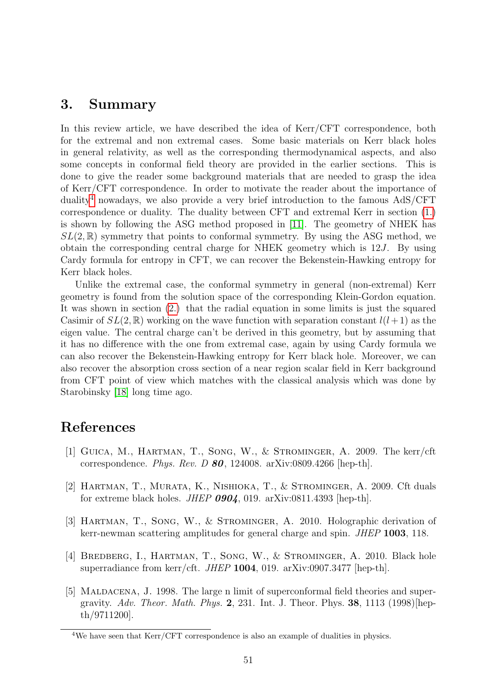# 3. Summary

In this review article, we have described the idea of Kerr/CFT correspondence, both for the extremal and non extremal cases. Some basic materials on Kerr black holes in general relativity, as well as the corresponding thermodynamical aspects, and also some concepts in conformal field theory are provided in the earlier sections. This is done to give the reader some background materials that are needed to grasp the idea of Kerr/CFT correspondence. In order to motivate the reader about the importance of duality<sup>[4](#page-10-5)</sup> nowadays, we also provide a very brief introduction to the famous  $AdS/CFT$ correspondence or duality. The duality between CFT and extremal Kerr in section [\(1.\)](#page-1-2) is shown by following the ASG method proposed in [\[11\]](#page-11-6). The geometry of NHEK has  $SL(2,\mathbb{R})$  symmetry that points to conformal symmetry. By using the ASG method, we obtain the corresponding central charge for NHEK geometry which is  $12J$ . By using Cardy formula for entropy in CFT, we can recover the Bekenstein-Hawking entropy for Kerr black holes.

Unlike the extremal case, the conformal symmetry in general (non-extremal) Kerr geometry is found from the solution space of the corresponding Klein-Gordon equation. It was shown in section [\(2.\)](#page-6-1) that the radial equation in some limits is just the squared Casimir of  $SL(2,\mathbb{R})$  working on the wave function with separation constant  $l(l+1)$  as the eigen value. The central charge can't be derived in this geometry, but by assuming that it has no difference with the one from extremal case, again by using Cardy formula we can also recover the Bekenstein-Hawking entropy for Kerr black hole. Moreover, we can also recover the absorption cross section of a near region scalar field in Kerr background from CFT point of view which matches with the classical analysis which was done by Starobinsky [\[18\]](#page-11-13) long time ago.

# References

- <span id="page-10-0"></span>[1] Guica, M., Hartman, T., Song, W., & Strominger, A. 2009. The kerr/cft correspondence. Phys. Rev. D  $80$ , 124008. arXiv:0809.4266 [hep-th].
- <span id="page-10-1"></span>[2] Hartman, T., Murata, K., Nishioka, T., & Strominger, A. 2009. Cft duals for extreme black holes. JHEP  $0904$ , 019. arXiv:0811.4393 [hep-th].
- <span id="page-10-2"></span>[3] HARTMAN, T., SONG, W., & STROMINGER, A. 2010. Holographic derivation of kerr-newman scattering amplitudes for general charge and spin. JHEP 1003, 118.
- <span id="page-10-3"></span>[4] BREDBERG, I., HARTMAN, T., SONG, W., & STROMINGER, A. 2010. Black hole superradiance from kerr/cft. JHEP 1004, 019. arXiv:0907.3477 [hep-th].
- <span id="page-10-4"></span>[5] MALDACENA, J. 1998. The large n limit of superconformal field theories and supergravity. Adv. Theor. Math. Phys. 2, 231. Int. J. Theor. Phys. 38, 1113 (1998) [hepth/9711200].

<span id="page-10-5"></span><sup>&</sup>lt;sup>4</sup>We have seen that Kerr/CFT correspondence is also an example of dualities in physics.